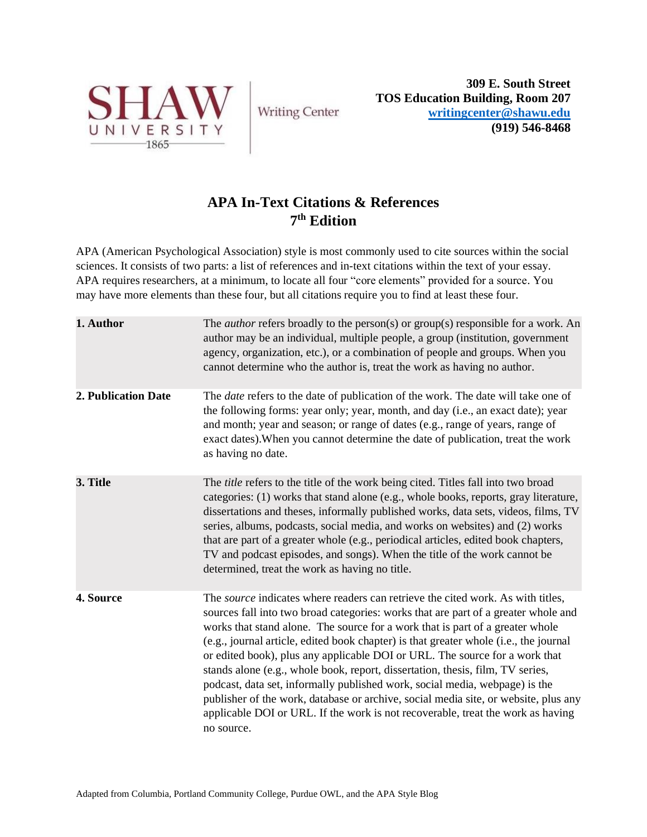

**Writing Center** 

**309 E. South Street TOS Education Building, Room 207 [writingcenter@shawu.edu](mailto:writingcenter@shawu.edu) (919) 546-8468**

# **APA In-Text Citations & References 7 th Edition**

APA (American Psychological Association) style is most commonly used to cite sources within the social sciences. It consists of two parts: a list of references and in-text citations within the text of your essay. APA requires researchers, at a minimum, to locate all four "core elements" provided for a source. You may have more elements than these four, but all citations require you to find at least these four.

| 1. Author           | The <i>author</i> refers broadly to the person(s) or group(s) responsible for a work. An<br>author may be an individual, multiple people, a group (institution, government<br>agency, organization, etc.), or a combination of people and groups. When you<br>cannot determine who the author is, treat the work as having no author.                                                                                                                                                                                                                                                                                                                                                                                                                                                          |
|---------------------|------------------------------------------------------------------------------------------------------------------------------------------------------------------------------------------------------------------------------------------------------------------------------------------------------------------------------------------------------------------------------------------------------------------------------------------------------------------------------------------------------------------------------------------------------------------------------------------------------------------------------------------------------------------------------------------------------------------------------------------------------------------------------------------------|
| 2. Publication Date | The <i>date</i> refers to the date of publication of the work. The date will take one of<br>the following forms: year only; year, month, and day (i.e., an exact date); year<br>and month; year and season; or range of dates (e.g., range of years, range of<br>exact dates). When you cannot determine the date of publication, treat the work<br>as having no date.                                                                                                                                                                                                                                                                                                                                                                                                                         |
| 3. Title            | The <i>title</i> refers to the title of the work being cited. Titles fall into two broad<br>categories: (1) works that stand alone (e.g., whole books, reports, gray literature,<br>dissertations and theses, informally published works, data sets, videos, films, TV<br>series, albums, podcasts, social media, and works on websites) and (2) works<br>that are part of a greater whole (e.g., periodical articles, edited book chapters,<br>TV and podcast episodes, and songs). When the title of the work cannot be<br>determined, treat the work as having no title.                                                                                                                                                                                                                    |
| 4. Source           | The <i>source</i> indicates where readers can retrieve the cited work. As with titles,<br>sources fall into two broad categories: works that are part of a greater whole and<br>works that stand alone. The source for a work that is part of a greater whole<br>(e.g., journal article, edited book chapter) is that greater whole (i.e., the journal<br>or edited book), plus any applicable DOI or URL. The source for a work that<br>stands alone (e.g., whole book, report, dissertation, thesis, film, TV series,<br>podcast, data set, informally published work, social media, webpage) is the<br>publisher of the work, database or archive, social media site, or website, plus any<br>applicable DOI or URL. If the work is not recoverable, treat the work as having<br>no source. |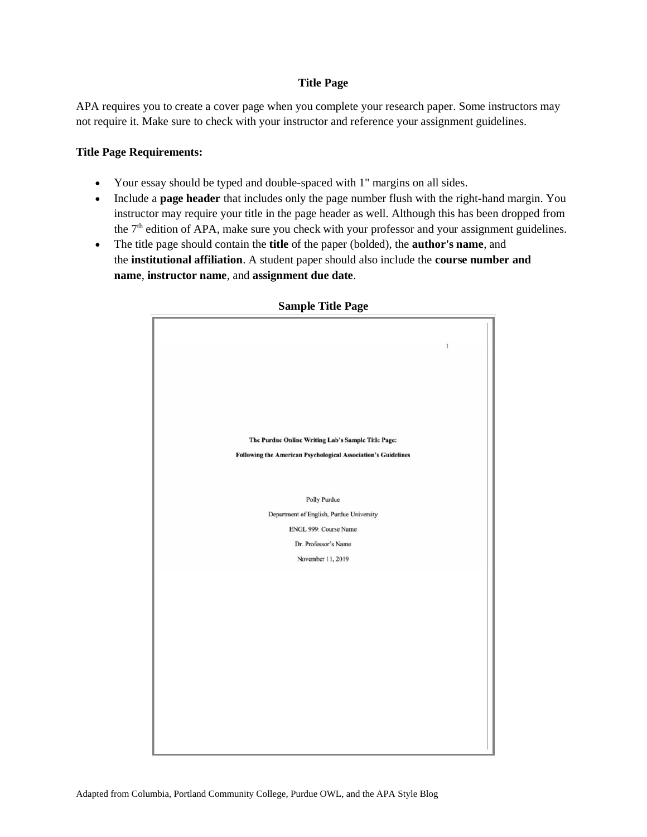## **Title Page**

APA requires you to create a cover page when you complete your research paper. Some instructors may not require it. Make sure to check with your instructor and reference your assignment guidelines.

## **Title Page Requirements:**

- Your essay should be typed and double-spaced with 1" margins on all sides.
- Include a **page header** that includes only the page number flush with the right-hand margin. You instructor may require your title in the page header as well. Although this has been dropped from the  $7<sup>th</sup>$  edition of APA, make sure you check with your professor and your assignment guidelines.
- The title page should contain the **title** of the paper (bolded), the **author's name**, and the **institutional affiliation**. A student paper should also include the **course number and name**, **instructor name**, and **assignment due date**.



## **Sample Title Page**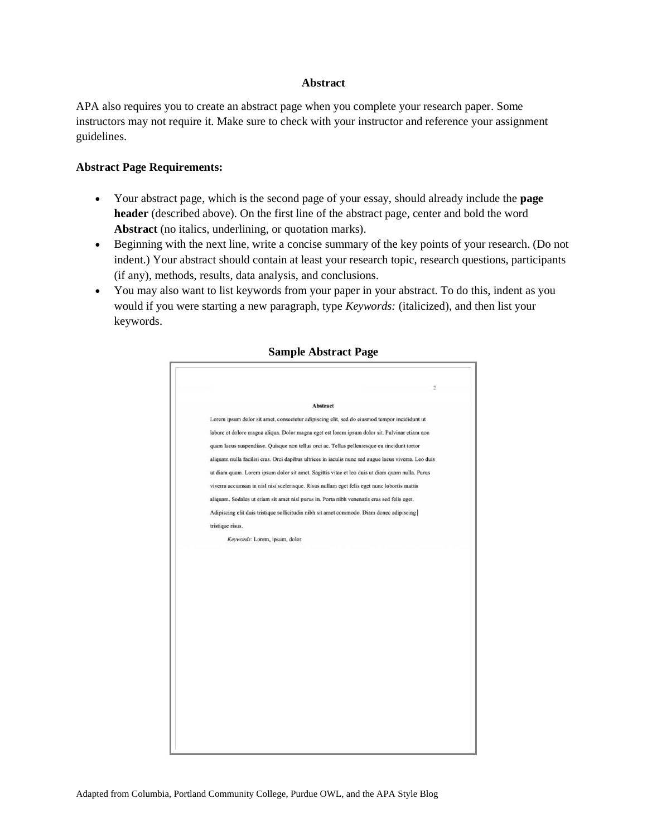#### **Abstract**

APA also requires you to create an abstract page when you complete your research paper. Some instructors may not require it. Make sure to check with your instructor and reference your assignment guidelines.

#### **Abstract Page Requirements:**

- Your abstract page, which is the second page of your essay, should already include the **page header** (described above). On the first line of the abstract page, center and bold the word **Abstract** (no italics, underlining, or quotation marks).
- Beginning with the next line, write a concise summary of the key points of your research. (Do not indent.) Your abstract should contain at least your research topic, research questions, participants (if any), methods, results, data analysis, and conclusions.
- You may also want to list keywords from your paper in your abstract. To do this, indent as you would if you were starting a new paragraph, type *Keywords:* (italicized), and then list your keywords.

| Abstract<br>Lorem ipsum dolor sit amet, consectetur adipiscing elit, sed do eiusmod tempor incididunt ut<br>labore et dolore magna aliqua. Dolor magna eget est lorem ipsum dolor sit. Pulvinar etiam non<br>quam lacus suspendisse. Quisque non tellus orci ac. Tellus pellentesque eu tincidunt tortor<br>aliquam nulla facilisi cras. Orci dapibus ultrices in iaculis nunc sed augue lacus viverra. Leo duis<br>ut diam quam. Lorem ipsum dolor sit amet. Sagittis vitae et leo duis ut diam quam nulla. Purus<br>viverra accumsan in nisl nisi scelerisque. Risus nullam eget felis eget nunc lobortis mattis<br>aliquam. Sodales ut etiam sit amet nisl purus in. Porta nibh venenatis cras sed felis eget.<br>Adipiscing elit duis tristique sollicitudin nibh sit amet commodo. Diam donec adipiscing<br>tristique risus.<br>Keywords: Lorem, ipsum, dolor |  |
|--------------------------------------------------------------------------------------------------------------------------------------------------------------------------------------------------------------------------------------------------------------------------------------------------------------------------------------------------------------------------------------------------------------------------------------------------------------------------------------------------------------------------------------------------------------------------------------------------------------------------------------------------------------------------------------------------------------------------------------------------------------------------------------------------------------------------------------------------------------------|--|
|                                                                                                                                                                                                                                                                                                                                                                                                                                                                                                                                                                                                                                                                                                                                                                                                                                                                    |  |
|                                                                                                                                                                                                                                                                                                                                                                                                                                                                                                                                                                                                                                                                                                                                                                                                                                                                    |  |
|                                                                                                                                                                                                                                                                                                                                                                                                                                                                                                                                                                                                                                                                                                                                                                                                                                                                    |  |
|                                                                                                                                                                                                                                                                                                                                                                                                                                                                                                                                                                                                                                                                                                                                                                                                                                                                    |  |
|                                                                                                                                                                                                                                                                                                                                                                                                                                                                                                                                                                                                                                                                                                                                                                                                                                                                    |  |
|                                                                                                                                                                                                                                                                                                                                                                                                                                                                                                                                                                                                                                                                                                                                                                                                                                                                    |  |
|                                                                                                                                                                                                                                                                                                                                                                                                                                                                                                                                                                                                                                                                                                                                                                                                                                                                    |  |
|                                                                                                                                                                                                                                                                                                                                                                                                                                                                                                                                                                                                                                                                                                                                                                                                                                                                    |  |
|                                                                                                                                                                                                                                                                                                                                                                                                                                                                                                                                                                                                                                                                                                                                                                                                                                                                    |  |
|                                                                                                                                                                                                                                                                                                                                                                                                                                                                                                                                                                                                                                                                                                                                                                                                                                                                    |  |
|                                                                                                                                                                                                                                                                                                                                                                                                                                                                                                                                                                                                                                                                                                                                                                                                                                                                    |  |
|                                                                                                                                                                                                                                                                                                                                                                                                                                                                                                                                                                                                                                                                                                                                                                                                                                                                    |  |

## **Sample Abstract Page**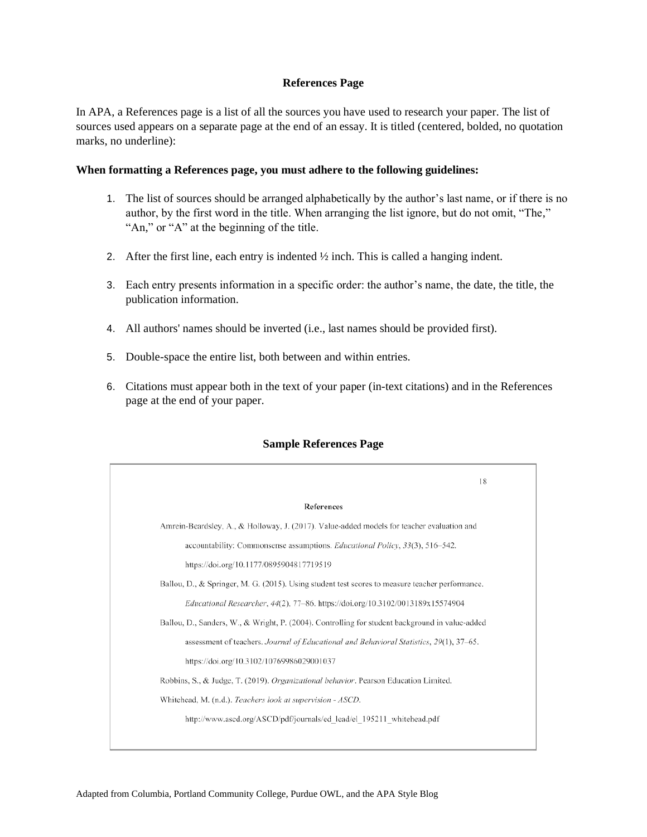#### **References Page**

In APA, a References page is a list of all the sources you have used to research your paper. The list of sources used appears on a separate page at the end of an essay. It is titled (centered, bolded, no quotation marks, no underline):

#### **When formatting a References page, you must adhere to the following guidelines:**

- 1. The list of sources should be arranged alphabetically by the author's last name, or if there is no author, by the first word in the title. When arranging the list ignore, but do not omit, "The," "An," or "A" at the beginning of the title.
- 2. After the first line, each entry is indented  $\frac{1}{2}$  inch. This is called a hanging indent.
- 3. Each entry presents information in a specific order: the author's name, the date, the title, the publication information.
- 4. All authors' names should be inverted (i.e., last names should be provided first).
- 5. Double-space the entire list, both between and within entries.
- 6. Citations must appear both in the text of your paper (in-text citations) and in the References page at the end of your paper.



## **Sample References Page**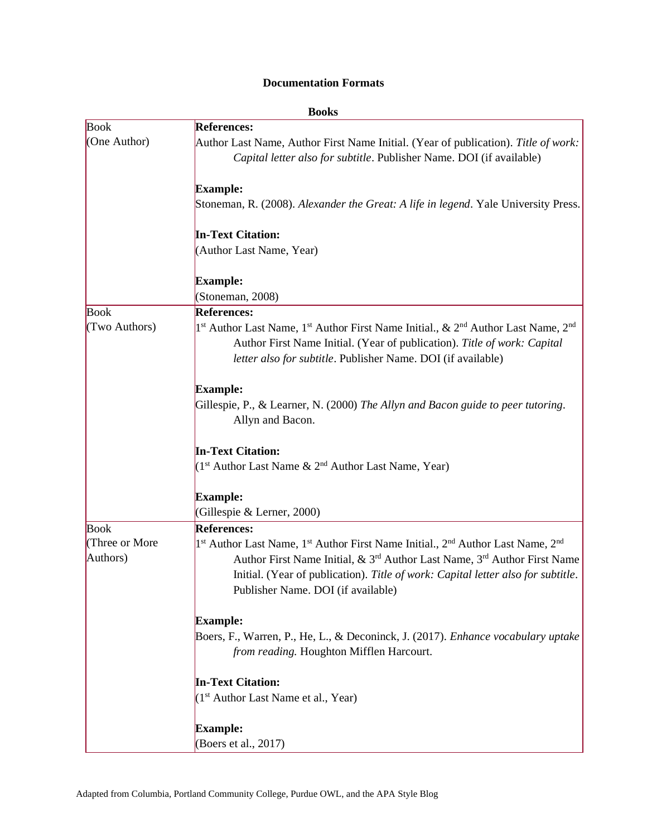## **Documentation Formats**

|                | <b>Books</b>                                                                                                                                                                                                                                                                  |
|----------------|-------------------------------------------------------------------------------------------------------------------------------------------------------------------------------------------------------------------------------------------------------------------------------|
| <b>Book</b>    | <b>References:</b>                                                                                                                                                                                                                                                            |
| (One Author)   | Author Last Name, Author First Name Initial. (Year of publication). Title of work:                                                                                                                                                                                            |
|                | Capital letter also for subtitle. Publisher Name. DOI (if available)                                                                                                                                                                                                          |
|                | <b>Example:</b>                                                                                                                                                                                                                                                               |
|                | Stoneman, R. (2008). Alexander the Great: A life in legend. Yale University Press.                                                                                                                                                                                            |
|                | <b>In-Text Citation:</b>                                                                                                                                                                                                                                                      |
|                | (Author Last Name, Year)                                                                                                                                                                                                                                                      |
|                | <b>Example:</b>                                                                                                                                                                                                                                                               |
|                | (Stoneman, 2008)                                                                                                                                                                                                                                                              |
| <b>Book</b>    | <b>References:</b>                                                                                                                                                                                                                                                            |
| (Two Authors)  | 1 <sup>st</sup> Author Last Name, 1 <sup>st</sup> Author First Name Initial., & 2 <sup>nd</sup> Author Last Name, 2 <sup>nd</sup><br>Author First Name Initial. (Year of publication). Title of work: Capital<br>letter also for subtitle. Publisher Name. DOI (if available) |
|                | <b>Example:</b>                                                                                                                                                                                                                                                               |
|                | Gillespie, P., & Learner, N. (2000) The Allyn and Bacon guide to peer tutoring.                                                                                                                                                                                               |
|                | Allyn and Bacon.                                                                                                                                                                                                                                                              |
|                | <b>In-Text Citation:</b>                                                                                                                                                                                                                                                      |
|                | ( $1st$ Author Last Name & $2nd$ Author Last Name, Year)                                                                                                                                                                                                                      |
|                | <b>Example:</b>                                                                                                                                                                                                                                                               |
|                | (Gillespie & Lerner, 2000)                                                                                                                                                                                                                                                    |
| <b>Book</b>    | <b>References:</b>                                                                                                                                                                                                                                                            |
| (Three or More | 1 <sup>st</sup> Author Last Name, 1 <sup>st</sup> Author First Name Initial., 2 <sup>nd</sup> Author Last Name, 2 <sup>nd</sup>                                                                                                                                               |
| Authors)       | Author First Name Initial, & 3 <sup>rd</sup> Author Last Name, 3 <sup>rd</sup> Author First Name                                                                                                                                                                              |
|                | Initial. (Year of publication). Title of work: Capital letter also for subtitle.                                                                                                                                                                                              |
|                | Publisher Name. DOI (if available)                                                                                                                                                                                                                                            |
|                | <b>Example:</b>                                                                                                                                                                                                                                                               |
|                | Boers, F., Warren, P., He, L., & Deconinck, J. (2017). Enhance vocabulary uptake                                                                                                                                                                                              |
|                | from reading. Houghton Mifflen Harcourt.                                                                                                                                                                                                                                      |
|                | <b>In-Text Citation:</b>                                                                                                                                                                                                                                                      |
|                | (1 <sup>st</sup> Author Last Name et al., Year)                                                                                                                                                                                                                               |
|                | <b>Example:</b>                                                                                                                                                                                                                                                               |
|                | (Boers et al., 2017)                                                                                                                                                                                                                                                          |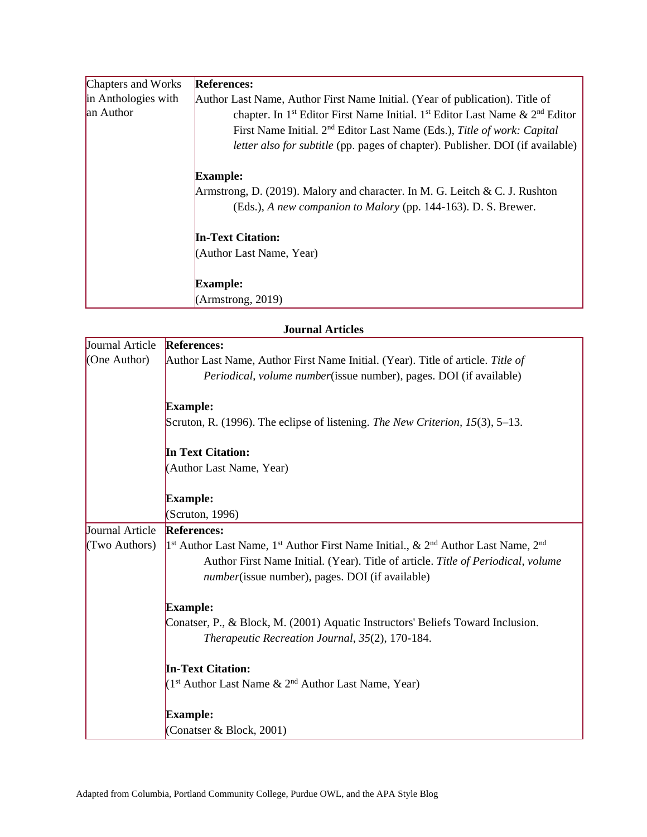| Chapters and Works  | <b>References:</b>                                                                                               |
|---------------------|------------------------------------------------------------------------------------------------------------------|
| in Anthologies with | Author Last Name, Author First Name Initial. (Year of publication). Title of                                     |
| an Author           | chapter. In 1 <sup>st</sup> Editor First Name Initial. 1 <sup>st</sup> Editor Last Name & 2 <sup>nd</sup> Editor |
|                     | First Name Initial. 2 <sup>nd</sup> Editor Last Name (Eds.), Title of work: Capital                              |
|                     | <i>letter also for subtitle</i> (pp. pages of chapter). Publisher. DOI (if available)                            |
|                     | <b>Example:</b>                                                                                                  |
|                     | Armstrong, D. (2019). Malory and character. In M. G. Leitch & C. J. Rushton                                      |
|                     | (Eds.), A new companion to Malory (pp. 144-163). D. S. Brewer.                                                   |
|                     | <b>In-Text Citation:</b>                                                                                         |
|                     | (Author Last Name, Year)                                                                                         |
|                     | <b>Example:</b>                                                                                                  |
|                     | (Armstrong, 2019)                                                                                                |
|                     |                                                                                                                  |

|                 | <b>Journal Articles</b>                                                                                                           |
|-----------------|-----------------------------------------------------------------------------------------------------------------------------------|
| Journal Article | <b>References:</b>                                                                                                                |
| (One Author)    | Author Last Name, Author First Name Initial. (Year). Title of article. Title of                                                   |
|                 | <i>Periodical, volume number</i> (issue number), pages. DOI (if available)                                                        |
|                 | <b>Example:</b>                                                                                                                   |
|                 | Scruton, R. (1996). The eclipse of listening. The New Criterion, $15(3)$ , 5–13.                                                  |
|                 | <b>In Text Citation:</b>                                                                                                          |
|                 | (Author Last Name, Year)                                                                                                          |
|                 | <b>Example:</b>                                                                                                                   |
|                 | (Scruton, 1996)                                                                                                                   |
| Journal Article | <b>References:</b>                                                                                                                |
| (Two Authors)   | 1 <sup>st</sup> Author Last Name, 1 <sup>st</sup> Author First Name Initial., & 2 <sup>nd</sup> Author Last Name, 2 <sup>nd</sup> |
|                 | Author First Name Initial. (Year). Title of article. Title of Periodical, volume                                                  |
|                 | <i>number</i> (issue number), pages. DOI (if available)                                                                           |
|                 | <b>Example:</b>                                                                                                                   |
|                 | Conatser, P., & Block, M. (2001) Aquatic Instructors' Beliefs Toward Inclusion.                                                   |
|                 | Therapeutic Recreation Journal, 35(2), 170-184.                                                                                   |
|                 | <b>In-Text Citation:</b>                                                                                                          |
|                 | (1 <sup>st</sup> Author Last Name & 2 <sup>nd</sup> Author Last Name, Year)                                                       |
|                 | <b>Example:</b>                                                                                                                   |
|                 | (Conatser & Block, 2001)                                                                                                          |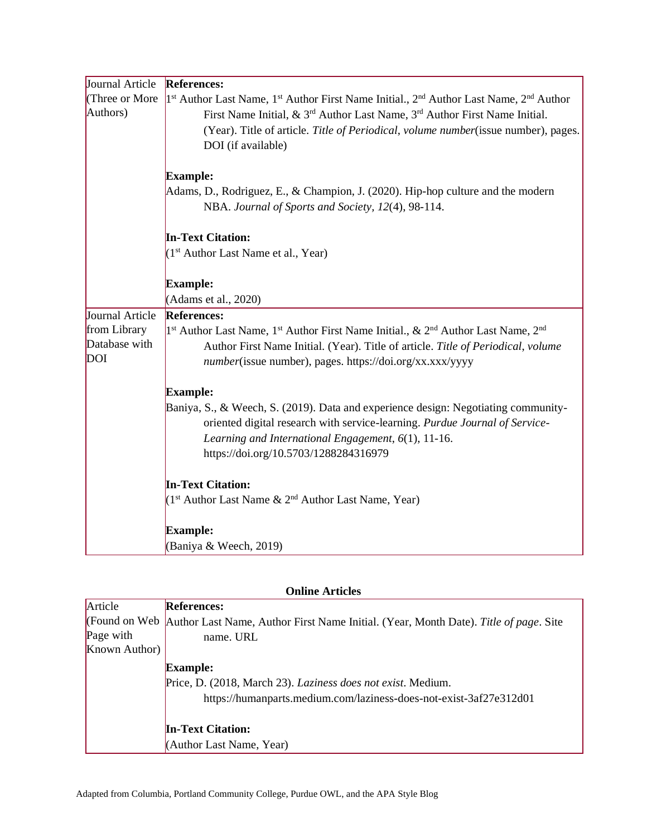| Journal Article | <b>References:</b>                                                                                                                     |
|-----------------|----------------------------------------------------------------------------------------------------------------------------------------|
| (Three or More  | 1 <sup>st</sup> Author Last Name, 1 <sup>st</sup> Author First Name Initial., 2 <sup>nd</sup> Author Last Name, 2 <sup>nd</sup> Author |
| Authors)        | First Name Initial, $\&$ 3 <sup>rd</sup> Author Last Name, 3 <sup>rd</sup> Author First Name Initial.                                  |
|                 | (Year). Title of article. Title of Periodical, volume number(issue number), pages.                                                     |
|                 | DOI (if available)                                                                                                                     |
|                 |                                                                                                                                        |
|                 | <b>Example:</b>                                                                                                                        |
|                 | Adams, D., Rodriguez, E., & Champion, J. (2020). Hip-hop culture and the modern                                                        |
|                 | NBA. Journal of Sports and Society, 12(4), 98-114.                                                                                     |
|                 | <b>In-Text Citation:</b>                                                                                                               |
|                 | $(1st$ Author Last Name et al., Year)                                                                                                  |
|                 | <b>Example:</b>                                                                                                                        |
|                 | (Adams et al., 2020)                                                                                                                   |
| Journal Article | <b>References:</b>                                                                                                                     |
| from Library    | 1 <sup>st</sup> Author Last Name, 1 <sup>st</sup> Author First Name Initial., & 2 <sup>nd</sup> Author Last Name, 2 <sup>nd</sup>      |
| Database with   | Author First Name Initial. (Year). Title of article. Title of Periodical, volume                                                       |
| <b>DOI</b>      | number(issue number), pages. https://doi.org/xx.xxx/yyyy                                                                               |
|                 | <b>Example:</b>                                                                                                                        |
|                 | Baniya, S., & Weech, S. (2019). Data and experience design: Negotiating community-                                                     |
|                 | oriented digital research with service-learning. Purdue Journal of Service-                                                            |
|                 | Learning and International Engagement, 6(1), 11-16.                                                                                    |
|                 | https://doi.org/10.5703/1288284316979                                                                                                  |
|                 | <b>In-Text Citation:</b>                                                                                                               |
|                 | ( $1st$ Author Last Name & $2nd$ Author Last Name, Year)                                                                               |
|                 | <b>Example:</b>                                                                                                                        |
|                 | (Baniya & Weech, 2019)                                                                                                                 |

| Article       | <b>References:</b>                                                                                   |
|---------------|------------------------------------------------------------------------------------------------------|
|               | (Found on Web   Author Last Name, Author First Name Initial. (Year, Month Date). Title of page. Site |
| Page with     | name. URL                                                                                            |
| Known Author) |                                                                                                      |
|               | <b>Example:</b>                                                                                      |
|               | Price, D. (2018, March 23). Laziness does not exist. Medium.                                         |
|               | https://humanparts.medium.com/laziness-does-not-exist-3af27e312d01                                   |
|               | <b>In-Text Citation:</b>                                                                             |
|               | (Author Last Name, Year)                                                                             |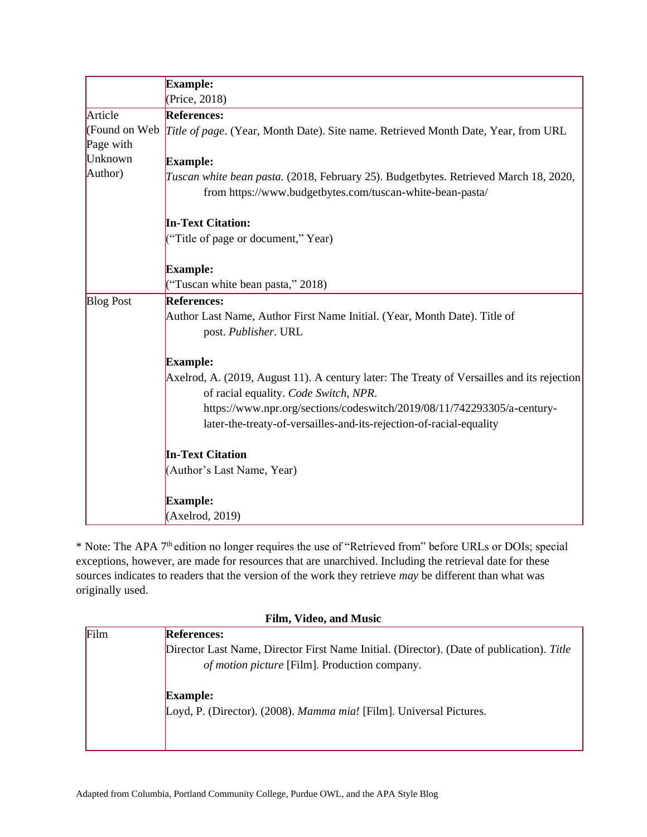|                  | <b>Example:</b>                                                                                                                                   |
|------------------|---------------------------------------------------------------------------------------------------------------------------------------------------|
|                  | (Price, 2018)                                                                                                                                     |
| Article          | <b>References:</b>                                                                                                                                |
| (Found on Web)   | <i>Title of page.</i> (Year, Month Date). Site name. Retrieved Month Date, Year, from URL                                                         |
| Page with        |                                                                                                                                                   |
| Unknown          | Example:                                                                                                                                          |
| Author)          | Tuscan white bean pasta. (2018, February 25). Budgetbytes. Retrieved March 18, 2020,<br>from https://www.budgetbytes.com/tuscan-white-bean-pasta/ |
|                  | <b>In-Text Citation:</b>                                                                                                                          |
|                  | ("Title of page or document," Year)                                                                                                               |
|                  | <b>Example:</b>                                                                                                                                   |
|                  | ("Tuscan white bean pasta," 2018)                                                                                                                 |
| <b>Blog Post</b> | <b>References:</b>                                                                                                                                |
|                  | Author Last Name, Author First Name Initial. (Year, Month Date). Title of<br>post. Publisher. URL                                                 |
|                  | <b>Example:</b>                                                                                                                                   |
|                  | Axelrod, A. (2019, August 11). A century later: The Treaty of Versailles and its rejection<br>of racial equality. Code Switch, NPR.               |
|                  | https://www.npr.org/sections/codeswitch/2019/08/11/742293305/a-century-                                                                           |
|                  | later-the-treaty-of-versailles-and-its-rejection-of-racial-equality                                                                               |
|                  | <b>In-Text Citation</b>                                                                                                                           |
|                  | (Author's Last Name, Year)                                                                                                                        |
|                  | <b>Example:</b>                                                                                                                                   |
|                  | (Axelrod, 2019)                                                                                                                                   |

\* Note: The APA 7th edition no longer requires the use of "Retrieved from" before URLs or DOIs; special exceptions, however, are made for resources that are unarchived. Including the retrieval date for these sources indicates to readers that the version of the work they retrieve *may* be different than what was originally used.

|      | Film, Video, and Music                                                                                                                     |  |
|------|--------------------------------------------------------------------------------------------------------------------------------------------|--|
| Film | <b>References:</b>                                                                                                                         |  |
|      | Director Last Name, Director First Name Initial. (Director). (Date of publication). Title<br>of motion picture [Film]. Production company. |  |
|      | <b>Example:</b><br>Loyd, P. (Director). (2008). Mamma mia! [Film]. Universal Pictures.                                                     |  |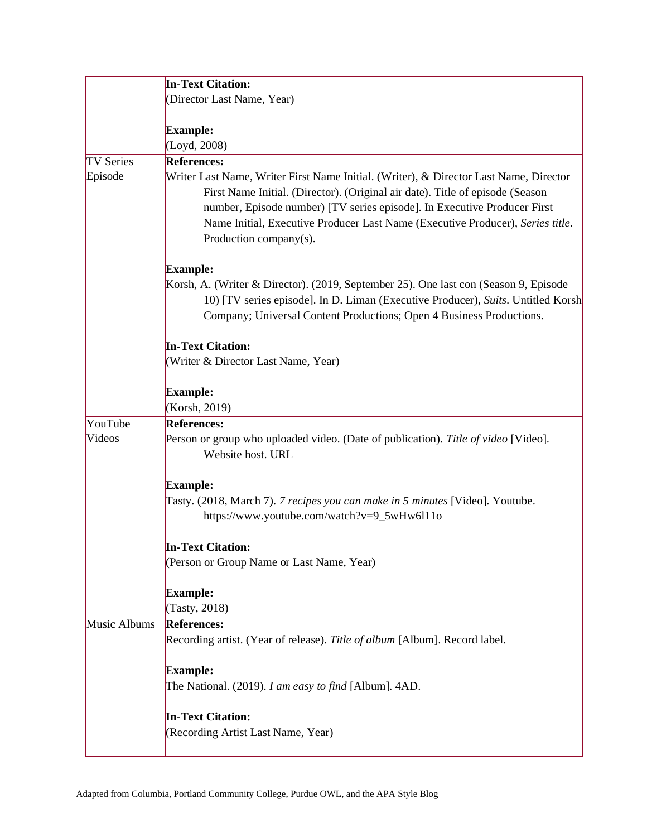|                  | <b>In-Text Citation:</b>                                                                                                                                                                                                                                                                                                                                       |
|------------------|----------------------------------------------------------------------------------------------------------------------------------------------------------------------------------------------------------------------------------------------------------------------------------------------------------------------------------------------------------------|
|                  | (Director Last Name, Year)                                                                                                                                                                                                                                                                                                                                     |
|                  |                                                                                                                                                                                                                                                                                                                                                                |
|                  | <b>Example:</b>                                                                                                                                                                                                                                                                                                                                                |
|                  | (Loyd, 2008)                                                                                                                                                                                                                                                                                                                                                   |
| <b>TV Series</b> | <b>References:</b>                                                                                                                                                                                                                                                                                                                                             |
| Episode          | Writer Last Name, Writer First Name Initial. (Writer), & Director Last Name, Director<br>First Name Initial. (Director). (Original air date). Title of episode (Season<br>number, Episode number) [TV series episode]. In Executive Producer First<br>Name Initial, Executive Producer Last Name (Executive Producer), Series title.<br>Production company(s). |
|                  | <b>Example:</b>                                                                                                                                                                                                                                                                                                                                                |
|                  | Korsh, A. (Writer & Director). (2019, September 25). One last con (Season 9, Episode<br>10) [TV series episode]. In D. Liman (Executive Producer), Suits. Untitled Korsh<br>Company; Universal Content Productions; Open 4 Business Productions.                                                                                                               |
|                  | <b>In-Text Citation:</b>                                                                                                                                                                                                                                                                                                                                       |
|                  | (Writer & Director Last Name, Year)                                                                                                                                                                                                                                                                                                                            |
|                  | <b>Example:</b><br>(Korsh, 2019)                                                                                                                                                                                                                                                                                                                               |
| YouTube          | <b>References:</b>                                                                                                                                                                                                                                                                                                                                             |
| Videos           | Person or group who uploaded video. (Date of publication). Title of video [Video].<br>Website host. URL                                                                                                                                                                                                                                                        |
|                  | <b>Example:</b>                                                                                                                                                                                                                                                                                                                                                |
|                  | Tasty. (2018, March 7). 7 recipes you can make in 5 minutes [Video]. Youtube.<br>https://www.youtube.com/watch?v=9_5wHw6l11o                                                                                                                                                                                                                                   |
|                  | <b>In-Text Citation:</b>                                                                                                                                                                                                                                                                                                                                       |
|                  | (Person or Group Name or Last Name, Year)                                                                                                                                                                                                                                                                                                                      |
|                  | <b>Example:</b><br>(Tasty, 2018)                                                                                                                                                                                                                                                                                                                               |
| Music Albums     | <b>References:</b>                                                                                                                                                                                                                                                                                                                                             |
|                  | Recording artist. (Year of release). Title of album [Album]. Record label.                                                                                                                                                                                                                                                                                     |
|                  | <b>Example:</b>                                                                                                                                                                                                                                                                                                                                                |
|                  | The National. (2019). I am easy to find [Album]. 4AD.                                                                                                                                                                                                                                                                                                          |
|                  | <b>In-Text Citation:</b>                                                                                                                                                                                                                                                                                                                                       |
|                  | (Recording Artist Last Name, Year)                                                                                                                                                                                                                                                                                                                             |